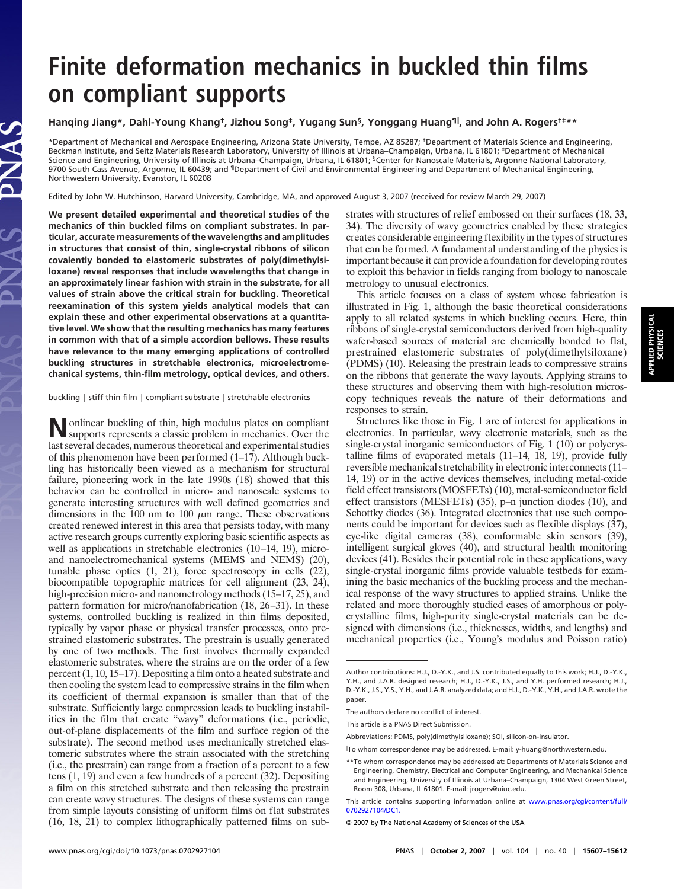# **Finite deformation mechanics in buckled thin films on compliant supports**

## **Hanqing Jiang\*, Dahl-Young Khang†, Jizhou Song‡, Yugang Sun§, Yonggang Huang¶ , and John A. Rogers†‡\*\***

\*Department of Mechanical and Aerospace Engineering, Arizona State University, Tempe, AZ 85287; †Department of Materials Science and Engineering, Beckman Institute, and Seitz Materials Research Laboratory, University of Illinois at Urbana–Champaign, Urbana, IL 61801; ‡Department of Mechanical Science and Engineering, University of Illinois at Urbana–Champaign, Urbana, IL 61801; §Center for Nanoscale Materials, Argonne National Laboratory, 9700 South Cass Avenue, Argonne, IL 60439; and <sup>¶</sup>Department of Civil and Environmental Engineering and Department of Mechanical Engineering, Northwestern University, Evanston, IL 60208

Edited by John W. Hutchinson, Harvard University, Cambridge, MA, and approved August 3, 2007 (received for review March 29, 2007)

**We present detailed experimental and theoretical studies of the mechanics of thin buckled films on compliant substrates. In particular, accurate measurements of the wavelengths and amplitudes in structures that consist of thin, single-crystal ribbons of silicon covalently bonded to elastomeric substrates of poly(dimethylsiloxane) reveal responses that include wavelengths that change in an approximately linear fashion with strain in the substrate, for all values of strain above the critical strain for buckling. Theoretical reexamination of this system yields analytical models that can explain these and other experimental observations at a quantitative level. We show that the resulting mechanics has many features in common with that of a simple accordion bellows. These results have relevance to the many emerging applications of controlled buckling structures in stretchable electronics, microelectromechanical systems, thin-film metrology, optical devices, and others.**

buckling  $\vert$  stiff thin film  $\vert$  compliant substrate  $\vert$  stretchable electronics

**N**onlinear buckling of thin, high modulus plates on compliant supports represents a classic problem in mechanics. Over the last several decades, numerous theoretical and experimental studies of this phenomenon have been performed  $(1-17)$ . Although buckling has historically been viewed as a mechanism for structural failure, pioneering work in the late 1990s (18) showed that this behavior can be controlled in micro- and nanoscale systems to generate interesting structures with well defined geometries and dimensions in the 100 nm to 100  $\mu$ m range. These observations created renewed interest in this area that persists today, with many active research groups currently exploring basic scientific aspects as well as applications in stretchable electronics (10–14, 19), microand nanoelectromechanical systems (MEMS and NEMS) (20), tunable phase optics (1, 21), force spectroscopy in cells (22), biocompatible topographic matrices for cell alignment (23, 24), high-precision micro- and nanometrology methods (15–17, 25), and pattern formation for micro/nanofabrication (18, 26–31). In these systems, controlled buckling is realized in thin films deposited, typically by vapor phase or physical transfer processes, onto prestrained elastomeric substrates. The prestrain is usually generated by one of two methods. The first involves thermally expanded elastomeric substrates, where the strains are on the order of a few percent (1, 10, 15–17). Depositing a film onto a heated substrate and then cooling the system lead to compressive strains in the film when its coefficient of thermal expansion is smaller than that of the substrate. Sufficiently large compression leads to buckling instabilities in the film that create ''wavy'' deformations (i.e., periodic, out-of-plane displacements of the film and surface region of the substrate). The second method uses mechanically stretched elastomeric substrates where the strain associated with the stretching (i.e., the prestrain) can range from a fraction of a percent to a few tens (1, 19) and even a few hundreds of a percent (32). Depositing a film on this stretched substrate and then releasing the prestrain can create wavy structures. The designs of these systems can range from simple layouts consisting of uniform films on flat substrates (16, 18, 21) to complex lithographically patterned films on substrates with structures of relief embossed on their surfaces (18, 33, 34). The diversity of wavy geometries enabled by these strategies creates considerable engineering flexibility in the types of structures that can be formed. A fundamental understanding of the physics is important because it can provide a foundation for developing routes to exploit this behavior in fields ranging from biology to nanoscale metrology to unusual electronics.

This article focuses on a class of system whose fabrication is illustrated in Fig. 1, although the basic theoretical considerations apply to all related systems in which buckling occurs. Here, thin ribbons of single-crystal semiconductors derived from high-quality wafer-based sources of material are chemically bonded to flat, prestrained elastomeric substrates of poly(dimethylsiloxane) (PDMS) (10). Releasing the prestrain leads to compressive strains on the ribbons that generate the wavy layouts. Applying strains to these structures and observing them with high-resolution microscopy techniques reveals the nature of their deformations and responses to strain.

Structures like those in Fig. 1 are of interest for applications in electronics. In particular, wavy electronic materials, such as the single-crystal inorganic semiconductors of Fig. 1 (10) or polycrystalline films of evaporated metals (11–14, 18, 19), provide fully reversible mechanical stretchability in electronic interconnects (11– 14, 19) or in the active devices themselves, including metal-oxide field effect transistors (MOSFETs) (10), metal-semiconductor field effect transistors (MESFETs) (35), p–n junction diodes (10), and Schottky diodes (36). Integrated electronics that use such components could be important for devices such as flexible displays (37), eye-like digital cameras (38), comformable skin sensors (39), intelligent surgical gloves (40), and structural health monitoring devices (41). Besides their potential role in these applications, wavy single-crystal inorganic films provide valuable testbeds for examining the basic mechanics of the buckling process and the mechanical response of the wavy structures to applied strains. Unlike the related and more thoroughly studied cases of amorphous or polycrystalline films, high-purity single-crystal materials can be designed with dimensions (i.e., thicknesses, widths, and lengths) and mechanical properties (i.e., Young's modulus and Poisson ratio)

Author contributions: H.J., D.-Y.K., and J.S. contributed equally to this work; H.J., D.-Y.K., Y.H., and J.A.R. designed research; H.J., D.-Y.K., J.S., and Y.H. performed research; H.J., D.-Y.K., J.S., Y.S., Y.H., and J.A.R. analyzed data; and H.J., D.-Y.K., Y.H., and J.A.R. wrote the paper.

The authors declare no conflict of interest.

This article is a PNAS Direct Submission.

Abbreviations: PDMS, poly(dimethylsiloxane); SOI, silicon-on-insulator.

To whom correspondence may be addressed. E-mail: y-huang@northwestern.edu.

<sup>\*\*</sup>To whom correspondence may be addressed at: Departments of Materials Science and Engineering, Chemistry, Electrical and Computer Engineering, and Mechanical Science and Engineering, University of Illinois at Urbana–Champaign, 1304 West Green Street, Room 308, Urbana, IL 61801. E-mail: jrogers@uiuc.edu.

This article contains supporting information online at [www.pnas.org/cgi/content/full/](http://www.pnas.org/cgi/content/full/0702927104/DC1) [0702927104/DC1.](http://www.pnas.org/cgi/content/full/0702927104/DC1)

<sup>© 2007</sup> by The National Academy of Sciences of the USA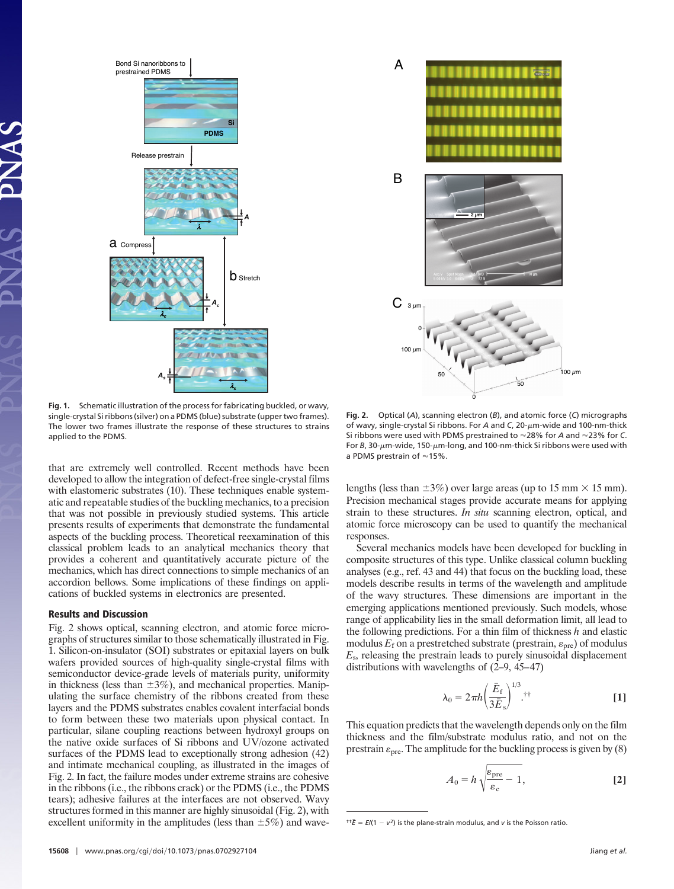

**Fig. 1.** Schematic illustration of the process for fabricating buckled, or wavy, single-crystal Si ribbons (silver) on a PDMS (blue) substrate (upper two frames). The lower two frames illustrate the response of these structures to strains applied to the PDMS.

that are extremely well controlled. Recent methods have been developed to allow the integration of defect-free single-crystal films with elastomeric substrates (10). These techniques enable systematic and repeatable studies of the buckling mechanics, to a precision that was not possible in previously studied systems. This article presents results of experiments that demonstrate the fundamental aspects of the buckling process. Theoretical reexamination of this classical problem leads to an analytical mechanics theory that provides a coherent and quantitatively accurate picture of the mechanics, which has direct connections to simple mechanics of an accordion bellows. Some implications of these findings on applications of buckled systems in electronics are presented.

#### **Results and Discussion**

Fig. 2 shows optical, scanning electron, and atomic force micrographs of structures similar to those schematically illustrated in Fig. 1. Silicon-on-insulator (SOI) substrates or epitaxial layers on bulk wafers provided sources of high-quality single-crystal films with semiconductor device-grade levels of materials purity, uniformity in thickness (less than  $\pm 3\%$ ), and mechanical properties. Manipulating the surface chemistry of the ribbons created from these layers and the PDMS substrates enables covalent interfacial bonds to form between these two materials upon physical contact. In particular, silane coupling reactions between hydroxyl groups on the native oxide surfaces of Si ribbons and UV/ozone activated surfaces of the PDMS lead to exceptionally strong adhesion (42) and intimate mechanical coupling, as illustrated in the images of Fig. 2. In fact, the failure modes under extreme strains are cohesive in the ribbons (i.e., the ribbons crack) or the PDMS (i.e., the PDMS tears); adhesive failures at the interfaces are not observed. Wavy structures formed in this manner are highly sinusoidal (Fig. 2), with excellent uniformity in the amplitudes (less than  $\pm$ 5%) and wave-



**Fig. 2.** Optical (*A*), scanning electron (*B*), and atomic force (*C*) micrographs of wavy, single-crystal Si ribbons. For *A* and *C*, 20- $\mu$ m-wide and 100-nm-thick Si ribbons were used with PDMS prestrained to ≈28% for *A* and ≈23% for *C*. For  $B$ , 30- $\mu$ m-wide, 150- $\mu$ m-long, and 100-nm-thick Si ribbons were used with a PDMS prestrain of  $\approx$  15%.

lengths (less than  $\pm 3\%$ ) over large areas (up to 15 mm  $\times$  15 mm). Precision mechanical stages provide accurate means for applying strain to these structures. *In situ* scanning electron, optical, and atomic force microscopy can be used to quantify the mechanical responses.

Several mechanics models have been developed for buckling in composite structures of this type. Unlike classical column buckling analyses (e.g., ref. 43 and 44) that focus on the buckling load, these models describe results in terms of the wavelength and amplitude of the wavy structures. These dimensions are important in the emerging applications mentioned previously. Such models, whose range of applicability lies in the small deformation limit, all lead to the following predictions. For a thin film of thickness *h* and elastic modulus  $E_f$  on a prestretched substrate (prestrain,  $\varepsilon_{\text{pre}}$ ) of modulus *E*s, releasing the prestrain leads to purely sinusoidal displacement distributions with wavelengths of (2–9, 45–47)

$$
\lambda_0 = 2\pi h \left(\frac{\bar{E}_{\rm f}}{3\bar{E}_{\rm s}}\right)^{1/3}.
$$
<sup>††</sup> [1]

This equation predicts that the wavelength depends only on the film thickness and the film/substrate modulus ratio, and not on the prestrain  $\varepsilon_{\text{pre}}$ . The amplitude for the buckling process is given by (8)

$$
A_0 = h \sqrt{\frac{\varepsilon_{\text{pre}}}{\varepsilon_{\text{c}}}} - 1, \tag{2}
$$

 ${}^{ \uparrow \uparrow} \bar{E} = E/(1 - v^2)$  is the plane-strain modulus, and *v* is the Poisson ratio.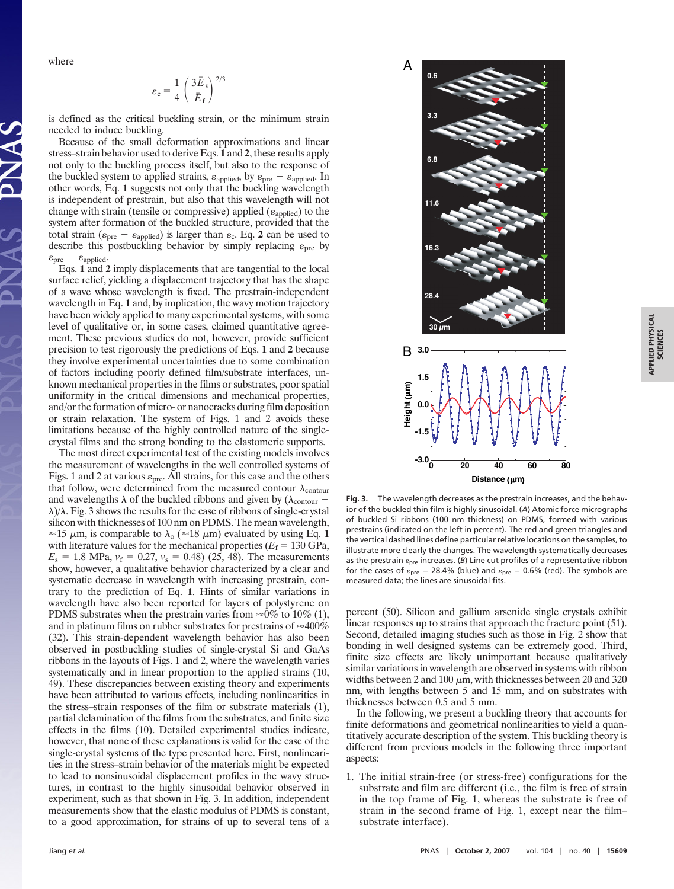where

$$
\varepsilon_{\rm c} = \frac{1}{4} \left( \frac{3 \bar{E}_{\rm s}}{\bar{E}_{\rm f}} \right)^{2/3}
$$

is defined as the critical buckling strain, or the minimum strain needed to induce buckling.

Because of the small deformation approximations and linear stress–strain behavior used to derive Eqs. **1** and **2**, these results apply not only to the buckling process itself, but also to the response of the buckled system to applied strains,  $\varepsilon_{\text{applied}}$ , by  $\varepsilon_{\text{pre}} - \varepsilon_{\text{applied}}$ . In other words, Eq. **1** suggests not only that the buckling wavelength is independent of prestrain, but also that this wavelength will not change with strain (tensile or compressive) applied ( $\varepsilon_{\text{applied}}$ ) to the system after formation of the buckled structure, provided that the total strain ( $\varepsilon_{\text{pre}} - \varepsilon_{\text{applied}}$ ) is larger than  $\varepsilon_{\text{c}}$ . Eq. 2 can be used to describe this postbuckling behavior by simply replacing  $\varepsilon_{pre}$  by  $\varepsilon_{\text{pre}} - \varepsilon_{\text{applied}}.$ 

Eqs. **1** and **2** imply displacements that are tangential to the local surface relief, yielding a displacement trajectory that has the shape of a wave whose wavelength is fixed. The prestrain-independent wavelength in Eq. **1** and, by implication, the wavy motion trajectory have been widely applied to many experimental systems, with some level of qualitative or, in some cases, claimed quantitative agreement. These previous studies do not, however, provide sufficient precision to test rigorously the predictions of Eqs. **1** and **2** because they involve experimental uncertainties due to some combination of factors including poorly defined film/substrate interfaces, unknown mechanical properties in the films or substrates, poor spatial uniformity in the critical dimensions and mechanical properties, and/or the formation of micro- or nanocracks during film deposition or strain relaxation. The system of Figs. 1 and 2 avoids these limitations because of the highly controlled nature of the singlecrystal films and the strong bonding to the elastomeric supports.

The most direct experimental test of the existing models involves the measurement of wavelengths in the well controlled systems of Figs. 1 and 2 at various  $\varepsilon_{pre}$ . All strains, for this case and the others that follow, were determined from the measured contour  $\lambda_{\text{contour}}$ and wavelengths  $\lambda$  of the buckled ribbons and given by ( $\lambda$ <sub>contour</sub> –  $\lambda$ / $\lambda$ . Fig. 3 shows the results for the case of ribbons of single-crystal silicon with thicknesses of 100 nm on PDMS. The mean wavelength,  $\approx$ 15  $\mu$ m, is comparable to  $\lambda_0$  ( $\approx$ 18  $\mu$ m) evaluated by using Eq. 1 with literature values for the mechanical properties  $(E_f = 130 \text{ GPa},$  $E_s = 1.8 \text{ MPa}, v_f = 0.27, v_s = 0.48$  (25, 48). The measurements show, however, a qualitative behavior characterized by a clear and systematic decrease in wavelength with increasing prestrain, contrary to the prediction of Eq. **1**. Hints of similar variations in wavelength have also been reported for layers of polystyrene on PDMS substrates when the prestrain varies from  $\approx 0\%$  to 10% (1), and in platinum films on rubber substrates for prestrains of  $\approx$ 400% (32). This strain-dependent wavelength behavior has also been observed in postbuckling studies of single-crystal Si and GaAs ribbons in the layouts of Figs. 1 and 2, where the wavelength varies systematically and in linear proportion to the applied strains (10, 49). These discrepancies between existing theory and experiments have been attributed to various effects, including nonlinearities in the stress–strain responses of the film or substrate materials (1), partial delamination of the films from the substrates, and finite size effects in the films (10). Detailed experimental studies indicate, however, that none of these explanations is valid for the case of the single-crystal systems of the type presented here. First, nonlinearities in the stress–strain behavior of the materials might be expected to lead to nonsinusoidal displacement profiles in the wavy structures, in contrast to the highly sinusoidal behavior observed in experiment, such as that shown in Fig. 3. In addition, independent measurements show that the elastic modulus of PDMS is constant, to a good approximation, for strains of up to several tens of a



**Fig. 3.** The wavelength decreases as the prestrain increases, and the behavior of the buckled thin film is highly sinusoidal. (*A*) Atomic force micrographs of buckled Si ribbons (100 nm thickness) on PDMS, formed with various prestrains (indicated on the left in percent). The red and green triangles and the vertical dashed lines define particular relative locations on the samples, to illustrate more clearly the changes. The wavelength systematically decreases as the prestrain  $\varepsilon_{\text{pre}}$  increases. (*B*) Line cut profiles of a representative ribbon for the cases of  $\varepsilon_{\text{pre}} = 28.4\%$  (blue) and  $\varepsilon_{\text{pre}} = 0.6\%$  (red). The symbols are measured data; the lines are sinusoidal fits.

percent (50). Silicon and gallium arsenide single crystals exhibit linear responses up to strains that approach the fracture point (51). Second, detailed imaging studies such as those in Fig. 2 show that bonding in well designed systems can be extremely good. Third, finite size effects are likely unimportant because qualitatively similar variations in wavelength are observed in systems with ribbon widths between 2 and 100  $\mu$ m, with thicknesses between 20 and 320 nm, with lengths between 5 and 15 mm, and on substrates with thicknesses between 0.5 and 5 mm.

In the following, we present a buckling theory that accounts for finite deformations and geometrical nonlinearities to yield a quantitatively accurate description of the system. This buckling theory is different from previous models in the following three important aspects:

1. The initial strain-free (or stress-free) configurations for the substrate and film are different (i.e., the film is free of strain in the top frame of Fig. 1, whereas the substrate is free of strain in the second frame of Fig. 1, except near the film– substrate interface).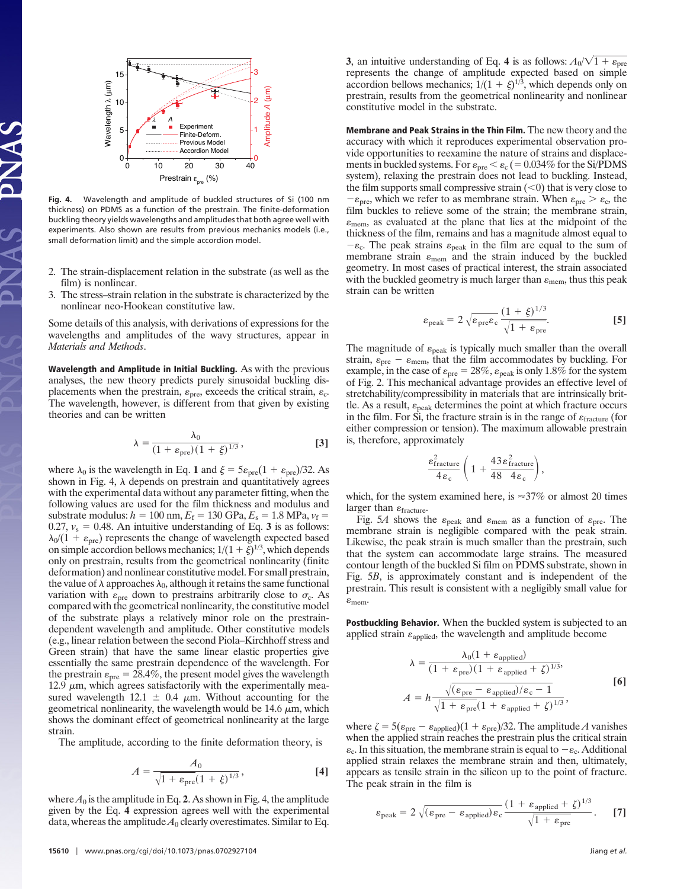

**Fig. 4.** Wavelength and amplitude of buckled structures of Si (100 nm thickness) on PDMS as a function of the prestrain. The finite-deformation buckling theory yields wavelengths and amplitudes that both agree well with experiments. Also shown are results from previous mechanics models (i.e., small deformation limit) and the simple accordion model.

- 2. The strain-displacement relation in the substrate (as well as the film) is nonlinear.
- 3. The stress–strain relation in the substrate is characterized by the nonlinear neo-Hookean constitutive law.

Some details of this analysis, with derivations of expressions for the wavelengths and amplitudes of the wavy structures, appear in *Materials and Methods*.

**Wavelength and Amplitude in Initial Buckling.** As with the previous analyses, the new theory predicts purely sinusoidal buckling displacements when the prestrain,  $\varepsilon_{\text{pre}}$ , exceeds the critical strain,  $\varepsilon_{\text{c}}$ . The wavelength, however, is different from that given by existing theories and can be written

$$
\lambda = \frac{\lambda_0}{(1 + \varepsilon_{\text{pre}})(1 + \xi)^{1/3}},
$$
 [3]

where  $\lambda_0$  is the wavelength in Eq. 1 and  $\xi = 5\varepsilon_{pre}(1 + \varepsilon_{pre})/32$ . As shown in Fig. 4,  $\lambda$  depends on prestrain and quantitatively agrees with the experimental data without any parameter fitting, when the following values are used for the film thickness and modulus and substrate modulus:  $h = 100$  nm,  $E_f = 130$  GPa,  $E_s = 1.8$  MPa,  $v_f =$ 0.27,  $v_s = 0.48$ . An intuitive understanding of Eq. 3 is as follows:  $\lambda_0/(1 + \varepsilon_{pre})$  represents the change of wavelength expected based on simple accordion bellows mechanics;  $1/(1 + \xi)^{1/3}$ , which depends only on prestrain, results from the geometrical nonlinearity (finite deformation) and nonlinear constitutive model. For small prestrain, the value of  $\lambda$  approaches  $\lambda_0$ , although it retains the same functional variation with  $\varepsilon_{pre}$  down to prestrains arbitrarily close to  $\sigma_{c}$ . As compared with the geometrical nonlinearity, the constitutive model of the substrate plays a relatively minor role on the prestraindependent wavelength and amplitude. Other constitutive models (e.g., linear relation between the second Piola–Kirchhoff stress and Green strain) that have the same linear elastic properties give essentially the same prestrain dependence of the wavelength. For the prestrain  $\varepsilon_{pre} = 28.4\%$ , the present model gives the wavelength 12.9  $\mu$ m, which agrees satisfactorily with the experimentally measured wavelength 12.1  $\pm$  0.4  $\mu$ m. Without accounting for the geometrical nonlinearity, the wavelength would be 14.6  $\mu$ m, which shows the dominant effect of geometrical nonlinearity at the large strain.

The amplitude, according to the finite deformation theory, is

$$
A = \frac{A_0}{\sqrt{1 + \varepsilon_{\text{pre}} (1 + \xi)^{1/3}}},
$$
 [4]

where  $A_0$  is the amplitude in Eq. 2. As shown in Fig. 4, the amplitude given by the Eq. **4** expression agrees well with the experimental data, whereas the amplitude  $A_0$  clearly overestimates. Similar to Eq. **Membrane and Peak Strains in the Thin Film.** The new theory and the accuracy with which it reproduces experimental observation provide opportunities to reexamine the nature of strains and displacements in buckled systems. For  $\varepsilon_{\text{pre}} < \varepsilon_{\text{c}}$  ( = 0.034% for the Si/PDMS system), relaxing the prestrain does not lead to buckling. Instead, the film supports small compressive strain  $(<$ 0) that is very close to  $-\varepsilon_{\text{pre}}$ , which we refer to as membrane strain. When  $\varepsilon_{\text{pre}} > \varepsilon_{\text{c}}$ , the film buckles to relieve some of the strain; the membrane strain,  $\varepsilon$ <sub>mem</sub>, as evaluated at the plane that lies at the midpoint of the thickness of the film, remains and has a magnitude almost equal to  $-\varepsilon_c$ . The peak strains  $\varepsilon_{\text{peak}}$  in the film are equal to the sum of membrane strain  $\varepsilon$ <sub>mem</sub> and the strain induced by the buckled geometry. In most cases of practical interest, the strain associated with the buckled geometry is much larger than  $\varepsilon_{\text{mem}}$ , thus this peak strain can be written

$$
\varepsilon_{\text{peak}} = 2\sqrt{\varepsilon_{\text{pre}}\varepsilon_{\text{c}}} \frac{(1+\xi)^{1/3}}{\sqrt{1+\varepsilon_{\text{pre}}}}.
$$
 [5]

The magnitude of  $\varepsilon_{\text{peak}}$  is typically much smaller than the overall strain,  $\varepsilon_{\text{pre}} - \varepsilon_{\text{mem}}$ , that the film accommodates by buckling. For example, in the case of  $\varepsilon_{pre} = 28\%, \varepsilon_{peak}$  is only 1.8% for the system of Fig. 2. This mechanical advantage provides an effective level of stretchability/compressibility in materials that are intrinsically brittle. As a result,  $\varepsilon_{\rm peak}$  determines the point at which fracture occurs in the film. For Si, the fracture strain is in the range of  $\varepsilon$ <sub>fracture</sub> (for either compression or tension). The maximum allowable prestrain is, therefore, approximately

$$
\frac{\epsilon^2_{\text{fracture}}}{4\,\epsilon_c}\left(\,1\, +\frac{43\,\epsilon^2_{\text{fracture}}}{48\ \, 4\,\epsilon_c}\right),
$$

which, for the system examined here, is  $\approx$ 37% or almost 20 times larger than  $\varepsilon$ <sub>fracture</sub>.

Fig. 5A shows the  $\varepsilon_{\text{peak}}$  and  $\varepsilon_{\text{mem}}$  as a function of  $\varepsilon_{\text{pre}}$ . The membrane strain is negligible compared with the peak strain. Likewise, the peak strain is much smaller than the prestrain, such that the system can accommodate large strains. The measured contour length of the buckled Si film on PDMS substrate, shown in Fig. 5*B*, is approximately constant and is independent of the prestrain. This result is consistent with a negligibly small value for  $\varepsilon$ <sub>mem</sub>.

**Postbuckling Behavior.** When the buckled system is subjected to an applied strain  $\varepsilon_{\text{applied}}$ , the wavelength and amplitude become

$$
\lambda = \frac{\lambda_0 (1 + \varepsilon_{\text{applied}})}{(1 + \varepsilon_{\text{pre}}) (1 + \varepsilon_{\text{applied}} + \zeta)^{1/3}},
$$
  

$$
A = h \frac{\sqrt{(\varepsilon_{\text{pre}} - \varepsilon_{\text{applied}})/\varepsilon_{\text{c}} - 1}}{\sqrt{1 + \varepsilon_{\text{pre}} (1 + \varepsilon_{\text{applied}} + \zeta)^{1/3}}},
$$
[6]

where  $\zeta = 5(\varepsilon_{pre} - \varepsilon_{\text{applied}})(1 + \varepsilon_{pre})/32$ . The amplitude *A* vanishes when the applied strain reaches the prestrain plus the critical strain  $\varepsilon_c$ . In this situation, the membrane strain is equal to  $-\varepsilon_c$ . Additional applied strain relaxes the membrane strain and then, ultimately, appears as tensile strain in the silicon up to the point of fracture. The peak strain in the film is

$$
\varepsilon_{\text{peak}} = 2\sqrt{(\varepsilon_{\text{pre}} - \varepsilon_{\text{applied}})\varepsilon_{\text{c}}} \frac{(1 + \varepsilon_{\text{applied}} + \zeta)^{1/3}}{\sqrt{1 + \varepsilon_{\text{pre}}}}. \qquad [7]
$$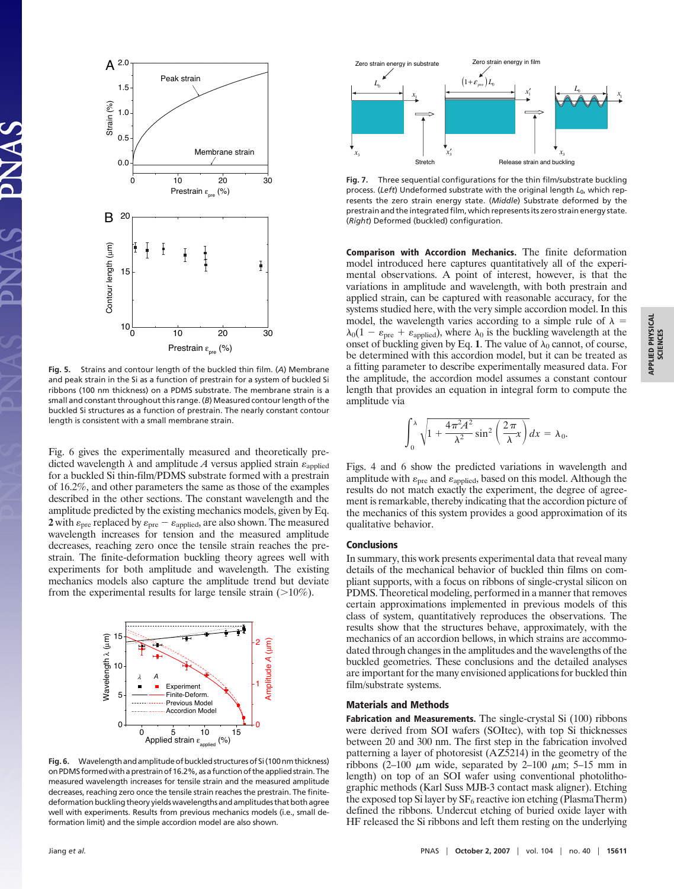

**Fig. 5.** Strains and contour length of the buckled thin film. (*A*) Membrane and peak strain in the Si as a function of prestrain for a system of buckled Si ribbons (100 nm thickness) on a PDMS substrate. The membrane strain is a small and constant throughout this range. (*B*) Measured contour length of the buckled Si structures as a function of prestrain. The nearly constant contour length is consistent with a small membrane strain.

Fig. 6 gives the experimentally measured and theoretically predicted wavelength  $\lambda$  and amplitude A versus applied strain  $\varepsilon_{\text{applied}}$ for a buckled Si thin-film/PDMS substrate formed with a prestrain of 16.2%, and other parameters the same as those of the examples described in the other sections. The constant wavelength and the amplitude predicted by the existing mechanics models, given by Eq. **2** with  $\varepsilon_{\text{pre}}$  replaced by  $\varepsilon_{\text{pre}} - \varepsilon_{\text{applied}}$ , are also shown. The measured wavelength increases for tension and the measured amplitude decreases, reaching zero once the tensile strain reaches the prestrain. The finite-deformation buckling theory agrees well with experiments for both amplitude and wavelength. The existing mechanics models also capture the amplitude trend but deviate from the experimental results for large tensile strain  $(>10\%)$ .



Fig. 6. Wavelength and amplitude of buckled structures of Si (100 nm thickness) onPDMSformedwithaprestrainof16.2%,asafunctionoftheappliedstrain.The measured wavelength increases for tensile strain and the measured amplitude decreases, reaching zero once the tensile strain reaches the prestrain. The finitedeformation buckling theory yields wavelengths and amplitudes that both agree well with experiments. Results from previous mechanics models (i.e., small deformation limit) and the simple accordion model are also shown.



**Fig. 7.** Three sequential configurations for the thin film/substrate buckling process. (*Left*) Undeformed substrate with the original length *L*0, which represents the zero strain energy state. (*Middle*) Substrate deformed by the prestrain and the integrated film, which represents its zero strain energy state. (*Right*) Deformed (buckled) configuration.

**Comparison with Accordion Mechanics.** The finite deformation model introduced here captures quantitatively all of the experimental observations. A point of interest, however, is that the variations in amplitude and wavelength, with both prestrain and applied strain, can be captured with reasonable accuracy, for the systems studied here, with the very simple accordion model. In this model, the wavelength varies according to a simple rule of  $\lambda =$  $\lambda_0(1 - \varepsilon_{pre} + \varepsilon_{\text{applied}})$ , where  $\lambda_0$  is the buckling wavelength at the onset of buckling given by Eq. 1. The value of  $\lambda_0$  cannot, of course, be determined with this accordion model, but it can be treated as a fitting parameter to describe experimentally measured data. For the amplitude, the accordion model assumes a constant contour length that provides an equation in integral form to compute the amplitude via

$$
\int_0^\lambda \sqrt{1 + \frac{4\pi^2 A^2}{\lambda^2} \sin^2\left(\frac{2\pi}{\lambda}x\right)} dx = \lambda_0.
$$

Figs. 4 and 6 show the predicted variations in wavelength and amplitude with  $\varepsilon_{\text{pre}}$  and  $\varepsilon_{\text{applied}}$ , based on this model. Although the results do not match exactly the experiment, the degree of agreement is remarkable, thereby indicating that the accordion picture of the mechanics of this system provides a good approximation of its qualitative behavior.

#### **Conclusions**

In summary, this work presents experimental data that reveal many details of the mechanical behavior of buckled thin films on compliant supports, with a focus on ribbons of single-crystal silicon on PDMS. Theoretical modeling, performed in a manner that removes certain approximations implemented in previous models of this class of system, quantitatively reproduces the observations. The results show that the structures behave, approximately, with the mechanics of an accordion bellows, in which strains are accommodated through changes in the amplitudes and the wavelengths of the buckled geometries. These conclusions and the detailed analyses are important for the many envisioned applications for buckled thin film/substrate systems.

### **Materials and Methods**

**Fabrication and Measurements.** The single-crystal Si (100) ribbons were derived from SOI wafers (SOItec), with top Si thicknesses between 20 and 300 nm. The first step in the fabrication involved patterning a layer of photoresist (AZ5214) in the geometry of the ribbons (2–100  $\mu$ m wide, separated by 2–100  $\mu$ m; 5–15 mm in length) on top of an SOI wafer using conventional photolithographic methods (Karl Suss MJB-3 contact mask aligner). Etching the exposed top Si layer by  $SF_6$  reactive ion etching (PlasmaTherm) defined the ribbons. Undercut etching of buried oxide layer with HF released the Si ribbons and left them resting on the underlying